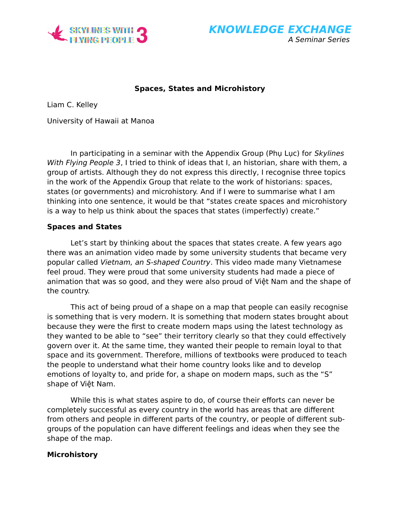

**KNOWLEDGE EXCHANGE** A Seminar Series

# **Spaces, States and Microhistory**

Liam C. Kelley

University of Hawaii at Manoa

In participating in a seminar with the Appendix Group (Phụ Lục) for Skylines With Flying People 3, I tried to think of ideas that I, an historian, share with them, a group of artists. Although they do not express this directly, I recognise three topics in the work of the Appendix Group that relate to the work of historians: spaces, states (or governments) and microhistory. And if I were to summarise what I am thinking into one sentence, it would be that "states create spaces and microhistory is a way to help us think about the spaces that states (imperfectly) create."

## **Spaces and States**

Let's start by thinking about the spaces that states create. A few years ago there was an animation video made by some university students that became very popular called Vietnam, an S-shaped Country. This video made many Vietnamese feel proud. They were proud that some university students had made a piece of animation that was so good, and they were also proud of Việt Nam and the shape of the country.

This act of being proud of a shape on a map that people can easily recognise is something that is very modern. It is something that modern states brought about because they were the first to create modern maps using the latest technology as they wanted to be able to "see" their territory clearly so that they could effectively govern over it. At the same time, they wanted their people to remain loyal to that space and its government. Therefore, millions of textbooks were produced to teach the people to understand what their home country looks like and to develop emotions of loyalty to, and pride for, a shape on modern maps, such as the "S" shape of Việt Nam.

While this is what states aspire to do, of course their efforts can never be completely successful as every country in the world has areas that are different from others and people in different parts of the country, or people of different subgroups of the population can have different feelings and ideas when they see the shape of the map.

### **Microhistory**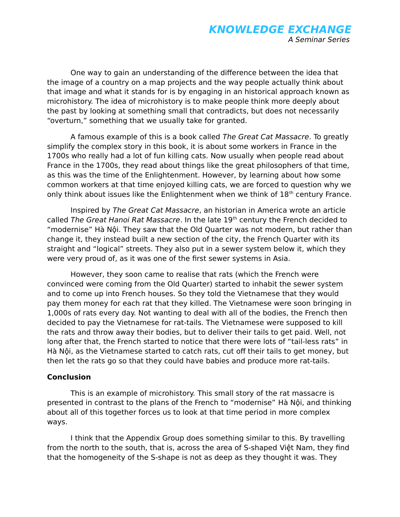One way to gain an understanding of the difference between the idea that the image of a country on a map projects and the way people actually think about that image and what it stands for is by engaging in an historical approach known as microhistory. The idea of microhistory is to make people think more deeply about the past by looking at something small that contradicts, but does not necessarily "overturn," something that we usually take for granted.

A famous example of this is a book called The Great Cat Massacre. To greatly simplify the complex story in this book, it is about some workers in France in the 1700s who really had a lot of fun killing cats. Now usually when people read about France in the 1700s, they read about things like the great philosophers of that time, as this was the time of the Enlightenment. However, by learning about how some common workers at that time enjoyed killing cats, we are forced to question why we only think about issues like the Enlightenment when we think of  $18<sup>th</sup>$  century France.

Inspired by The Great Cat Massacre, an historian in America wrote an article called The Great Hanoi Rat Massacre. In the late 19<sup>th</sup> century the French decided to "modernise" Hà Nội. They saw that the Old Quarter was not modern, but rather than change it, they instead built a new section of the city, the French Quarter with its straight and "logical" streets. They also put in a sewer system below it, which they were very proud of, as it was one of the first sewer systems in Asia.

However, they soon came to realise that rats (which the French were convinced were coming from the Old Quarter) started to inhabit the sewer system and to come up into French houses. So they told the Vietnamese that they would pay them money for each rat that they killed. The Vietnamese were soon bringing in 1,000s of rats every day. Not wanting to deal with all of the bodies, the French then decided to pay the Vietnamese for rat-tails. The Vietnamese were supposed to kill the rats and throw away their bodies, but to deliver their tails to get paid. Well, not long after that, the French started to notice that there were lots of "tail-less rats" in Hà Nội, as the Vietnamese started to catch rats, cut off their tails to get money, but then let the rats go so that they could have babies and produce more rat-tails.

# **Conclusion**

This is an example of microhistory. This small story of the rat massacre is presented in contrast to the plans of the French to "modernise" Hà Nội, and thinking about all of this together forces us to look at that time period in more complex ways.

I think that the Appendix Group does something similar to this. By travelling from the north to the south, that is, across the area of S-shaped Việt Nam, they find that the homogeneity of the S-shape is not as deep as they thought it was. They